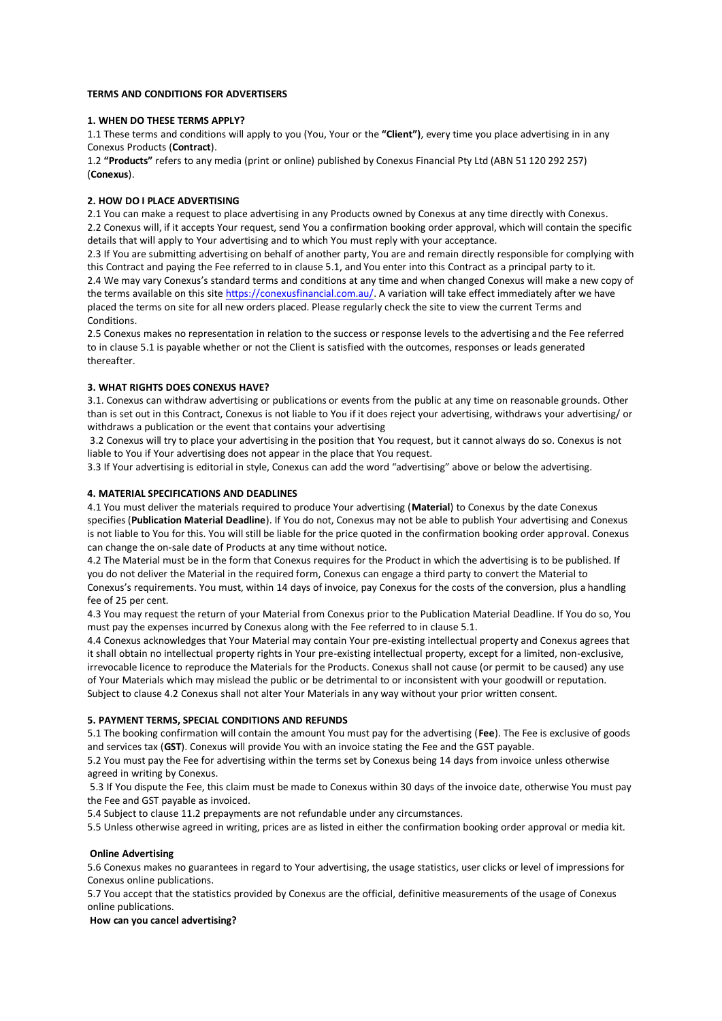## **TERMS AND CONDITIONS FOR ADVERTISERS**

# **1. WHEN DO THESE TERMS APPLY?**

1.1 These terms and conditions will apply to you (You, Your or the **"Client")**, every time you place advertising in in any Conexus Products (**Contract**).

1.2 **"Products"** refers to any media (print or online) published by Conexus Financial Pty Ltd (ABN 51 120 292 257) (**Conexus**).

## **2. HOW DO I PLACE ADVERTISING**

2.1 You can make a request to place advertising in any Products owned by Conexus at any time directly with Conexus. 2.2 Conexus will, if it accepts Your request, send You a confirmation booking order approval, which will contain the specific details that will apply to Your advertising and to which You must reply with your acceptance.

2.3 If You are submitting advertising on behalf of another party, You are and remain directly responsible for complying with this Contract and paying the Fee referred to in clause 5.1, and You enter into this Contract as a principal party to it. 2.4 We may vary Conexus's standard terms and conditions at any time and when changed Conexus will make a new copy of the terms available on this sit[e https://conexusfinancial.com.au/.](https://conexusfinancial.com.au/) A variation will take effect immediately after we have placed the terms on site for all new orders placed. Please regularly check the site to view the current Terms and **Conditions** 

2.5 Conexus makes no representation in relation to the success or response levels to the advertising and the Fee referred to in clause 5.1 is payable whether or not the Client is satisfied with the outcomes, responses or leads generated thereafter.

## **3. WHAT RIGHTS DOES CONEXUS HAVE?**

3.1. Conexus can withdraw advertising or publications or events from the public at any time on reasonable grounds. Other than is set out in this Contract, Conexus is not liable to You if it does reject your advertising, withdraws your advertising/ or withdraws a publication or the event that contains your advertising

3.2 Conexus will try to place your advertising in the position that You request, but it cannot always do so. Conexus is not liable to You if Your advertising does not appear in the place that You request.

3.3 If Your advertising is editorial in style, Conexus can add the word "advertising" above or below the advertising.

## **4. MATERIAL SPECIFICATIONS AND DEADLINES**

4.1 You must deliver the materials required to produce Your advertising (**Material**) to Conexus by the date Conexus specifies (**Publication Material Deadline**). If You do not, Conexus may not be able to publish Your advertising and Conexus is not liable to You for this. You will still be liable for the price quoted in the confirmation booking order approval. Conexus can change the on-sale date of Products at any time without notice.

4.2 The Material must be in the form that Conexus requires for the Product in which the advertising is to be published. If you do not deliver the Material in the required form, Conexus can engage a third party to convert the Material to Conexus's requirements. You must, within 14 days of invoice, pay Conexus for the costs of the conversion, plus a handling fee of 25 per cent.

4.3 You may request the return of your Material from Conexus prior to the Publication Material Deadline. If You do so, You must pay the expenses incurred by Conexus along with the Fee referred to in clause 5.1.

4.4 Conexus acknowledges that Your Material may contain Your pre-existing intellectual property and Conexus agrees that it shall obtain no intellectual property rights in Your pre-existing intellectual property, except for a limited, non-exclusive, irrevocable licence to reproduce the Materials for the Products. Conexus shall not cause (or permit to be caused) any use of Your Materials which may mislead the public or be detrimental to or inconsistent with your goodwill or reputation. Subject to clause 4.2 Conexus shall not alter Your Materials in any way without your prior written consent.

#### **5. PAYMENT TERMS, SPECIAL CONDITIONS AND REFUNDS**

5.1 The booking confirmation will contain the amount You must pay for the advertising (**Fee**). The Fee is exclusive of goods and services tax (**GST**). Conexus will provide You with an invoice stating the Fee and the GST payable.

5.2 You must pay the Fee for advertising within the terms set by Conexus being 14 days from invoice unless otherwise agreed in writing by Conexus.

5.3 If You dispute the Fee, this claim must be made to Conexus within 30 days of the invoice date, otherwise You must pay the Fee and GST payable as invoiced.

5.4 Subject to clause 11.2 prepayments are not refundable under any circumstances.

5.5 Unless otherwise agreed in writing, prices are as listed in either the confirmation booking order approval or media kit.

# **Online Advertising**

5.6 Conexus makes no guarantees in regard to Your advertising, the usage statistics, user clicks or level of impressions for Conexus online publications.

5.7 You accept that the statistics provided by Conexus are the official, definitive measurements of the usage of Conexus online publications.

# **How can you cancel advertising?**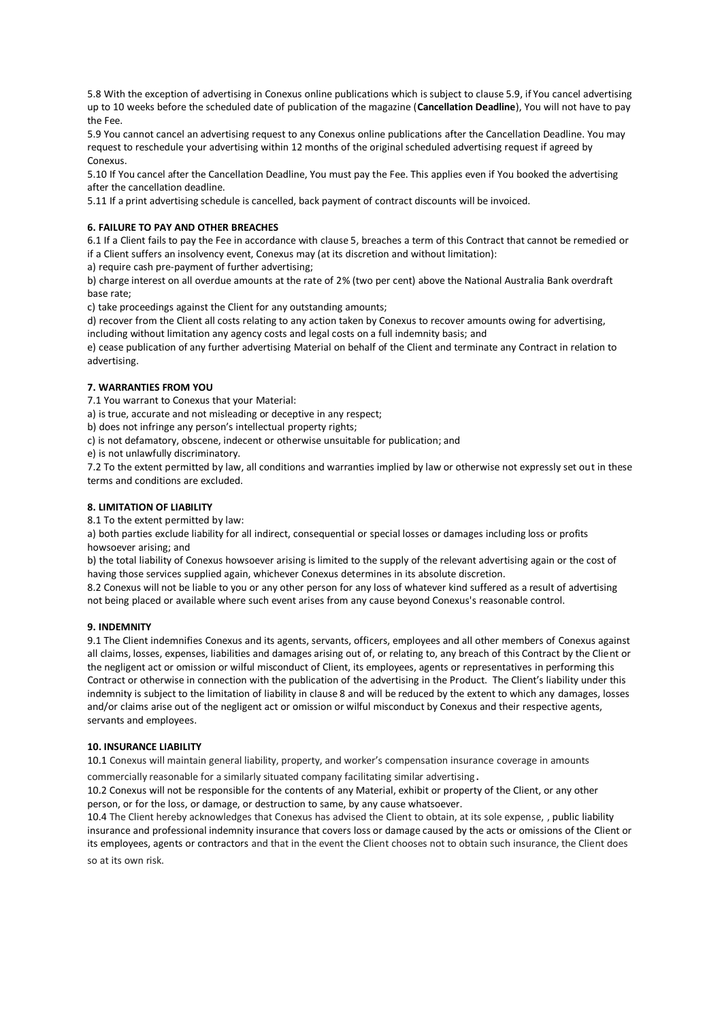5.8 With the exception of advertising in Conexus online publications which is subject to clause 5.9, if You cancel advertising up to 10 weeks before the scheduled date of publication of the magazine (**Cancellation Deadline**), You will not have to pay the Fee.

5.9 You cannot cancel an advertising request to any Conexus online publications after the Cancellation Deadline. You may request to reschedule your advertising within 12 months of the original scheduled advertising request if agreed by Conexus.

5.10 If You cancel after the Cancellation Deadline, You must pay the Fee. This applies even if You booked the advertising after the cancellation deadline.

5.11 If a print advertising schedule is cancelled, back payment of contract discounts will be invoiced.

# **6. FAILURE TO PAY AND OTHER BREACHES**

6.1 If a Client fails to pay the Fee in accordance with clause 5, breaches a term of this Contract that cannot be remedied or if a Client suffers an insolvency event, Conexus may (at its discretion and without limitation):

a) require cash pre-payment of further advertising;

b) charge interest on all overdue amounts at the rate of 2% (two per cent) above the National Australia Bank overdraft base rate;

c) take proceedings against the Client for any outstanding amounts;

d) recover from the Client all costs relating to any action taken by Conexus to recover amounts owing for advertising, including without limitation any agency costs and legal costs on a full indemnity basis; and

e) cease publication of any further advertising Material on behalf of the Client and terminate any Contract in relation to advertising.

## **7. WARRANTIES FROM YOU**

7.1 You warrant to Conexus that your Material:

a) is true, accurate and not misleading or deceptive in any respect;

b) does not infringe any person's intellectual property rights;

c) is not defamatory, obscene, indecent or otherwise unsuitable for publication; and

e) is not unlawfully discriminatory.

7.2 To the extent permitted by law, all conditions and warranties implied by law or otherwise not expressly set out in these terms and conditions are excluded.

# **8. LIMITATION OF LIABILITY**

8.1 To the extent permitted by law:

a) both parties exclude liability for all indirect, consequential or special losses or damages including loss or profits howsoever arising; and

b) the total liability of Conexus howsoever arising is limited to the supply of the relevant advertising again or the cost of having those services supplied again, whichever Conexus determines in its absolute discretion.

8.2 Conexus will not be liable to you or any other person for any loss of whatever kind suffered as a result of advertising not being placed or available where such event arises from any cause beyond Conexus's reasonable control.

#### **9. INDEMNITY**

9.1 The Client indemnifies Conexus and its agents, servants, officers, employees and all other members of Conexus against all claims, losses, expenses, liabilities and damages arising out of, or relating to, any breach of this Contract by the Client or the negligent act or omission or wilful misconduct of Client, its employees, agents or representatives in performing this Contract or otherwise in connection with the publication of the advertising in the Product. The Client's liability under this indemnity is subject to the limitation of liability in clause 8 and will be reduced by the extent to which any damages, losses and/or claims arise out of the negligent act or omission or wilful misconduct by Conexus and their respective agents, servants and employees.

#### **10. INSURANCE LIABILITY**

10.1 Conexus will maintain general liability, property, and worker's compensation insurance coverage in amounts

commercially reasonable for a similarly situated company facilitating similar advertising.

10.2 Conexus will not be responsible for the contents of any Material, exhibit or property of the Client, or any other person, or for the loss, or damage, or destruction to same, by any cause whatsoever.

10.4 The Client hereby acknowledges that Conexus has advised the Client to obtain, at its sole expense, , public liability insurance and professional indemnity insurance that covers loss or damage caused by the acts or omissions of the Client or its employees, agents or contractors and that in the event the Client chooses not to obtain such insurance, the Client does so at its own risk.